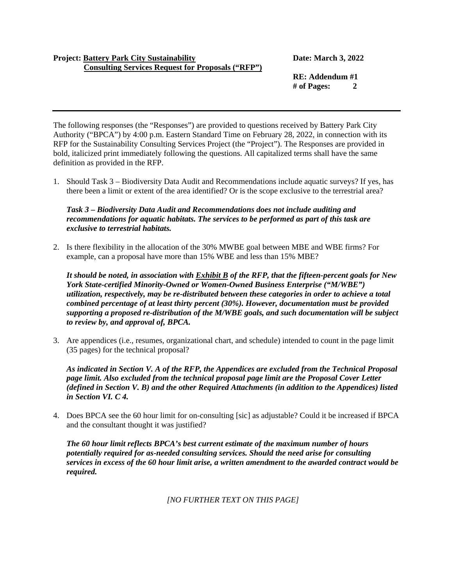## **Project: Battery Park City Sustainability Date: March 3, 2022 Consulting Services Request for Proposals ("RFP")**

**RE: Addendum #1 # of Pages: 2**

The following responses (the "Responses") are provided to questions received by Battery Park City Authority ("BPCA") by 4:00 p.m. Eastern Standard Time on February 28, 2022, in connection with its RFP for the Sustainability Consulting Services Project (the "Project"). The Responses are provided in bold, italicized print immediately following the questions. All capitalized terms shall have the same definition as provided in the RFP.

1. Should Task 3 – Biodiversity Data Audit and Recommendations include aquatic surveys? If yes, has there been a limit or extent of the area identified? Or is the scope exclusive to the terrestrial area?

## *Task 3 – Biodiversity Data Audit and Recommendations does not include auditing and recommendations for aquatic habitats. The services to be performed as part of this task are exclusive to terrestrial habitats.*

2. Is there flexibility in the allocation of the 30% MWBE goal between MBE and WBE firms? For example, can a proposal have more than 15% WBE and less than 15% MBE?

*It should be noted, in association with Exhibit B of the RFP, that the fifteen-percent goals for New York State-certified Minority-Owned or Women-Owned Business Enterprise ("M/WBE") utilization, respectively, may be re-distributed between these categories in order to achieve a total combined percentage of at least thirty percent (30%). However, documentation must be provided supporting a proposed re-distribution of the M/WBE goals, and such documentation will be subject to review by, and approval of, BPCA.*

3. Are appendices (i.e., resumes, organizational chart, and schedule) intended to count in the page limit (35 pages) for the technical proposal?

*As indicated in Section V. A of the RFP, the Appendices are excluded from the Technical Proposal page limit. Also excluded from the technical proposal page limit are the Proposal Cover Letter (defined in Section V. B) and the other Required Attachments (in addition to the Appendices) listed in Section VI. C 4.*

4. Does BPCA see the 60 hour limit for on-consulting [sic] as adjustable? Could it be increased if BPCA and the consultant thought it was justified?

*The 60 hour limit reflects BPCA's best current estimate of the maximum number of hours potentially required for as-needed consulting services. Should the need arise for consulting services in excess of the 60 hour limit arise, a written amendment to the awarded contract would be required.* 

*[NO FURTHER TEXT ON THIS PAGE]*